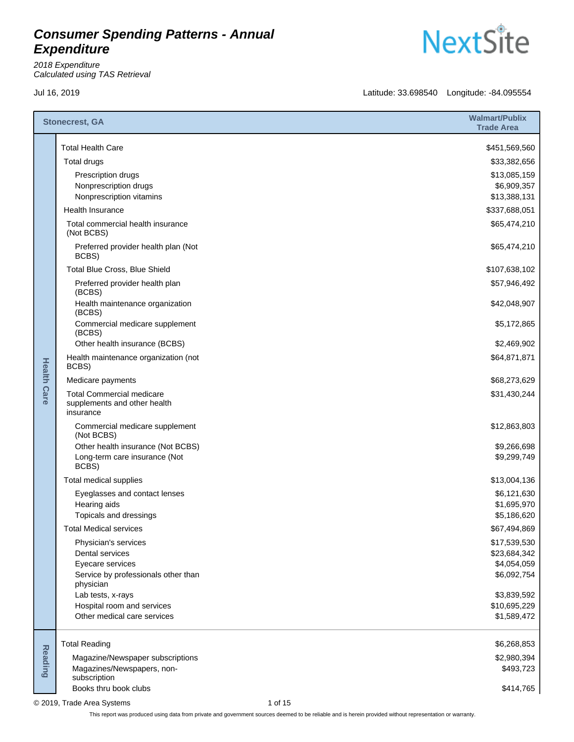2018 Expenditure Calculated using TAS Retrieval

**NextSite** 

Jul 16, 2019 Latitude: 33.698540 Longitude: -84.095554

|                    | <b>Stonecrest, GA</b>                                                         |         | <b>Walmart/Publix</b><br><b>Trade Area</b> |
|--------------------|-------------------------------------------------------------------------------|---------|--------------------------------------------|
|                    | <b>Total Health Care</b>                                                      |         | \$451,569,560                              |
|                    | Total drugs                                                                   |         | \$33,382,656                               |
|                    | Prescription drugs                                                            |         | \$13,085,159                               |
|                    | Nonprescription drugs                                                         |         | \$6,909,357                                |
|                    | Nonprescription vitamins<br><b>Health Insurance</b>                           |         | \$13,388,131<br>\$337,688,051              |
|                    | Total commercial health insurance                                             |         | \$65,474,210                               |
|                    | (Not BCBS)                                                                    |         |                                            |
|                    | Preferred provider health plan (Not<br>BCBS)                                  |         | \$65,474,210                               |
|                    | Total Blue Cross, Blue Shield                                                 |         | \$107,638,102                              |
|                    | Preferred provider health plan<br>(BCBS)                                      |         | \$57,946,492                               |
|                    | Health maintenance organization<br>(BCBS)                                     |         | \$42,048,907                               |
|                    | Commercial medicare supplement<br>(BCBS)                                      |         | \$5,172,865                                |
|                    | Other health insurance (BCBS)                                                 |         | \$2,469,902                                |
|                    | Health maintenance organization (not<br>BCBS)                                 |         | \$64,871,871                               |
|                    | Medicare payments                                                             |         | \$68,273,629                               |
| <b>Health Care</b> | <b>Total Commercial medicare</b><br>supplements and other health<br>insurance |         | \$31,430,244                               |
|                    | Commercial medicare supplement<br>(Not BCBS)                                  |         | \$12,863,803                               |
|                    | Other health insurance (Not BCBS)                                             |         | \$9,266,698                                |
|                    | Long-term care insurance (Not<br>BCBS)                                        |         | \$9,299,749                                |
|                    | Total medical supplies                                                        |         | \$13,004,136                               |
|                    | Eyeglasses and contact lenses                                                 |         | \$6,121,630                                |
|                    | Hearing aids<br>Topicals and dressings                                        |         | \$1,695,970<br>\$5,186,620                 |
|                    | <b>Total Medical services</b>                                                 |         | \$67,494,869                               |
|                    | Physician's services                                                          |         | \$17,539,530                               |
|                    | Dental services                                                               |         | \$23,684,342                               |
|                    | Eyecare services                                                              |         | \$4,054,059                                |
|                    | Service by professionals other than<br>physician                              |         | \$6,092,754                                |
|                    | Lab tests, x-rays                                                             |         | \$3,839,592                                |
|                    | Hospital room and services                                                    |         | \$10,695,229                               |
|                    | Other medical care services                                                   |         | \$1,589,472                                |
|                    | <b>Total Reading</b>                                                          |         | \$6,268,853                                |
| <b>Reading</b>     | Magazine/Newspaper subscriptions                                              |         | \$2,980,394                                |
|                    | Magazines/Newspapers, non-<br>subscription                                    |         | \$493,723                                  |
|                    | Books thru book clubs                                                         |         | \$414,765                                  |
|                    | © 2019, Trade Area Systems                                                    | 1 of 15 |                                            |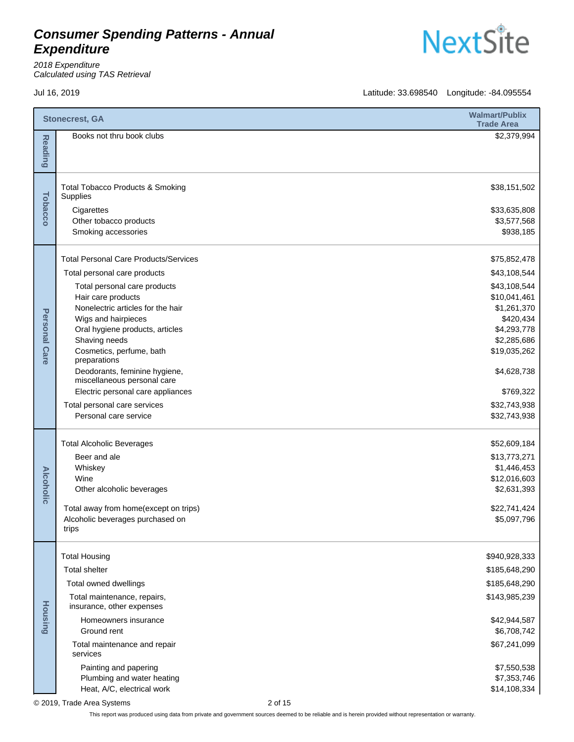

**NextSite** 

Jul 16, 2019 Latitude: 33.698540 Longitude: -84.095554

|                  | <b>Stonecrest, GA</b>                                                     |         | <b>Walmart/Publix</b><br><b>Trade Area</b> |
|------------------|---------------------------------------------------------------------------|---------|--------------------------------------------|
| <b>Reading</b>   | Books not thru book clubs                                                 |         | \$2,379,994                                |
|                  | <b>Total Tobacco Products &amp; Smoking</b><br>Supplies                   |         | \$38,151,502                               |
| Tobacco          | Cigarettes                                                                |         | \$33,635,808                               |
|                  | Other tobacco products<br>Smoking accessories                             |         | \$3,577,568<br>\$938,185                   |
|                  |                                                                           |         |                                            |
|                  | <b>Total Personal Care Products/Services</b>                              |         | \$75,852,478                               |
|                  | Total personal care products                                              |         | \$43,108,544                               |
|                  | Total personal care products<br>Hair care products                        |         | \$43,108,544<br>\$10,041,461               |
|                  | Nonelectric articles for the hair                                         |         | \$1,261,370                                |
| Personal         | Wigs and hairpieces                                                       |         | \$420,434                                  |
|                  | Oral hygiene products, articles                                           |         | \$4,293,778                                |
|                  | Shaving needs<br>Cosmetics, perfume, bath                                 |         | \$2,285,686<br>\$19,035,262                |
| <b>Care</b>      | preparations                                                              |         |                                            |
|                  | Deodorants, feminine hygiene,<br>miscellaneous personal care              |         | \$4,628,738                                |
|                  | Electric personal care appliances                                         |         | \$769,322                                  |
|                  | Total personal care services                                              |         | \$32,743,938                               |
|                  | Personal care service                                                     |         | \$32,743,938                               |
| <b>Alcoholic</b> | <b>Total Alcoholic Beverages</b>                                          |         | \$52,609,184                               |
|                  | Beer and ale                                                              |         | \$13,773,271                               |
|                  | Whiskey                                                                   |         | \$1,446,453                                |
|                  | Wine<br>Other alcoholic beverages                                         |         | \$12,016,603<br>\$2,631,393                |
|                  |                                                                           |         |                                            |
|                  | Total away from home(except on trips)<br>Alcoholic beverages purchased on |         | \$22,741,424<br>\$5,097,796                |
|                  | trips                                                                     |         |                                            |
|                  | <b>Total Housing</b>                                                      |         | \$940,928,333                              |
|                  | <b>Total shelter</b>                                                      |         | \$185,648,290                              |
|                  | Total owned dwellings                                                     |         | \$185,648,290                              |
|                  | Total maintenance, repairs,                                               |         | \$143,985,239                              |
|                  | insurance, other expenses                                                 |         |                                            |
| <b>Housing</b>   | Homeowners insurance<br>Ground rent                                       |         | \$42,944,587<br>\$6,708,742                |
|                  | Total maintenance and repair<br>services                                  |         | \$67,241,099                               |
|                  | Painting and papering                                                     |         | \$7,550,538                                |
|                  | Plumbing and water heating                                                |         | \$7,353,746                                |
|                  | Heat, A/C, electrical work                                                |         | \$14,108,334                               |
|                  | © 2019, Trade Area Systems                                                | 2 of 15 |                                            |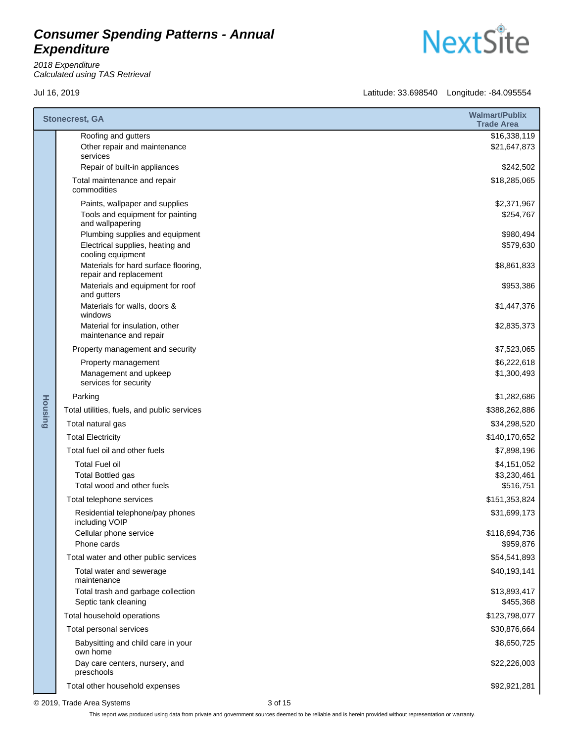2018 Expenditure Calculated using TAS Retrieval

Jul 16, 2019 Latitude: 33.698540 Longitude: -84.095554

|         | <b>Stonecrest, GA</b>                                           | <b>Walmart/Publix</b><br><b>Trade Area</b> |
|---------|-----------------------------------------------------------------|--------------------------------------------|
|         | Roofing and gutters<br>Other repair and maintenance<br>services | \$16,338,119<br>\$21,647,873               |
|         | Repair of built-in appliances                                   | \$242,502                                  |
|         | Total maintenance and repair<br>commodities                     | \$18,285,065                               |
|         | Paints, wallpaper and supplies                                  | \$2,371,967                                |
|         | Tools and equipment for painting<br>and wallpapering            | \$254,767                                  |
|         | Plumbing supplies and equipment                                 | \$980,494                                  |
|         | Electrical supplies, heating and<br>cooling equipment           | \$579,630                                  |
|         | Materials for hard surface flooring,<br>repair and replacement  | \$8,861,833                                |
|         | Materials and equipment for roof<br>and gutters                 | \$953,386                                  |
|         | Materials for walls, doors &<br>windows                         | \$1,447,376                                |
|         | Material for insulation, other<br>maintenance and repair        | \$2,835,373                                |
|         | Property management and security                                | \$7,523,065                                |
|         | Property management                                             | \$6,222,618                                |
| Housing | Management and upkeep<br>services for security                  | \$1,300,493                                |
|         | Parking                                                         | \$1,282,686                                |
|         | Total utilities, fuels, and public services                     | \$388,262,886                              |
|         | Total natural gas                                               | \$34,298,520                               |
|         | <b>Total Electricity</b>                                        | \$140,170,652                              |
|         | Total fuel oil and other fuels                                  | \$7,898,196                                |
|         | <b>Total Fuel oil</b><br><b>Total Bottled gas</b>               | \$4,151,052                                |
|         | Total wood and other fuels                                      | \$3,230,461<br>\$516,751                   |
|         | Total telephone services                                        | \$151,353,824                              |
|         | Residential telephone/pay phones<br>including VOIP              | \$31,699,173                               |
|         | Cellular phone service<br>Phone cards                           | \$118,694,736<br>\$959,876                 |
|         | Total water and other public services                           | \$54,541,893                               |
|         | Total water and sewerage<br>maintenance                         | \$40,193,141                               |
|         | Total trash and garbage collection                              | \$13,893,417                               |
|         | Septic tank cleaning                                            | \$455,368                                  |
|         | Total household operations                                      | \$123,798,077                              |
|         | Total personal services                                         | \$30,876,664                               |
|         | Babysitting and child care in your<br>own home                  | \$8,650,725                                |
|         | Day care centers, nursery, and<br>preschools                    | \$22,226,003                               |
|         | Total other household expenses                                  | \$92,921,281                               |

© 2019, Trade Area Systems 3 of 15

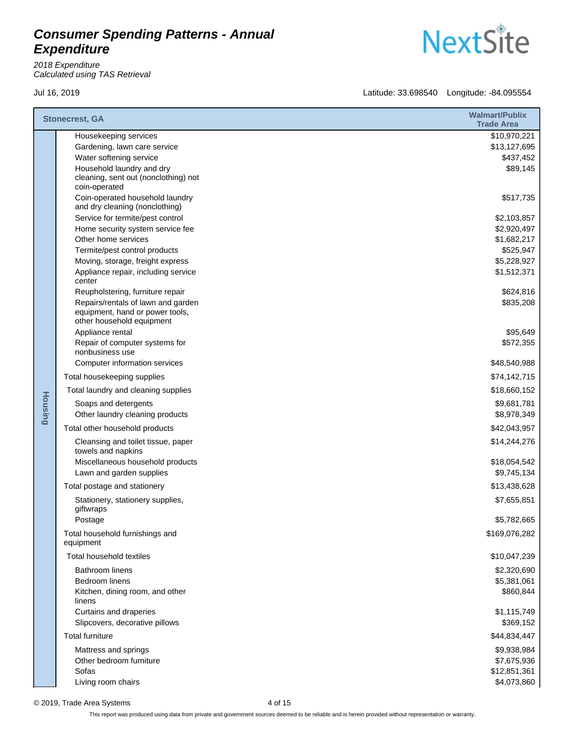2018 Expenditure Calculated using TAS Retrieval

Jul 16, 2019 Latitude: 33.698540 Longitude: -84.095554

|                | <b>Stonecrest, GA</b>                                                                                                                                                                                                                                                                                                                                                                                                                                                 | <b>Walmart/Publix</b><br><b>Trade Area</b>                                                                                              |
|----------------|-----------------------------------------------------------------------------------------------------------------------------------------------------------------------------------------------------------------------------------------------------------------------------------------------------------------------------------------------------------------------------------------------------------------------------------------------------------------------|-----------------------------------------------------------------------------------------------------------------------------------------|
|                | Housekeeping services<br>Gardening, lawn care service<br>Water softening service<br>Household laundry and dry<br>cleaning, sent out (nonclothing) not                                                                                                                                                                                                                                                                                                                 | \$10,970,221<br>\$13,127,695<br>\$437,452<br>\$89,145                                                                                   |
|                | coin-operated<br>Coin-operated household laundry<br>and dry cleaning (nonclothing)<br>Service for termite/pest control<br>Home security system service fee<br>Other home services<br>Termite/pest control products<br>Moving, storage, freight express<br>Appliance repair, including service<br>center<br>Reupholstering, furniture repair<br>Repairs/rentals of lawn and garden<br>equipment, hand or power tools,<br>other household equipment<br>Appliance rental | \$517,735<br>\$2,103,857<br>\$2,920,497<br>\$1,682,217<br>\$525,947<br>\$5,228,927<br>\$1,512,371<br>\$624,816<br>\$835,208<br>\$95,649 |
| <b>Housing</b> | Repair of computer systems for<br>nonbusiness use                                                                                                                                                                                                                                                                                                                                                                                                                     | \$572,355                                                                                                                               |
|                | Computer information services<br>Total housekeeping supplies                                                                                                                                                                                                                                                                                                                                                                                                          | \$48,540,988<br>\$74,142,715                                                                                                            |
|                | Total laundry and cleaning supplies                                                                                                                                                                                                                                                                                                                                                                                                                                   | \$18,660,152                                                                                                                            |
|                | Soaps and detergents<br>Other laundry cleaning products<br>Total other household products                                                                                                                                                                                                                                                                                                                                                                             | \$9,681,781<br>\$8,978,349<br>\$42,043,957                                                                                              |
|                | Cleansing and toilet tissue, paper<br>towels and napkins<br>Miscellaneous household products<br>Lawn and garden supplies                                                                                                                                                                                                                                                                                                                                              | \$14,244,276<br>\$18,054,542<br>\$9,745,134                                                                                             |
|                | Total postage and stationery                                                                                                                                                                                                                                                                                                                                                                                                                                          | \$13,438,628                                                                                                                            |
|                | Stationery, stationery supplies,<br>giftwraps                                                                                                                                                                                                                                                                                                                                                                                                                         | \$7,655,851                                                                                                                             |
|                | Postage<br>Total household furnishings and<br>equipment                                                                                                                                                                                                                                                                                                                                                                                                               | \$5,782,665<br>\$169,076,282                                                                                                            |
|                | Total household textiles                                                                                                                                                                                                                                                                                                                                                                                                                                              | \$10,047,239                                                                                                                            |
|                | <b>Bathroom linens</b><br>Bedroom linens<br>Kitchen, dining room, and other<br>linens                                                                                                                                                                                                                                                                                                                                                                                 | \$2,320,690<br>\$5,381,061<br>\$860,844                                                                                                 |
|                | Curtains and draperies<br>Slipcovers, decorative pillows                                                                                                                                                                                                                                                                                                                                                                                                              | \$1,115,749<br>\$369,152                                                                                                                |
|                | <b>Total furniture</b>                                                                                                                                                                                                                                                                                                                                                                                                                                                | \$44,834,447                                                                                                                            |
|                | Mattress and springs<br>Other bedroom furniture<br>Sofas<br>Living room chairs                                                                                                                                                                                                                                                                                                                                                                                        | \$9,938,984<br>\$7,675,936<br>\$12,851,361<br>\$4,073,860                                                                               |

© 2019, Trade Area Systems 4 of 15

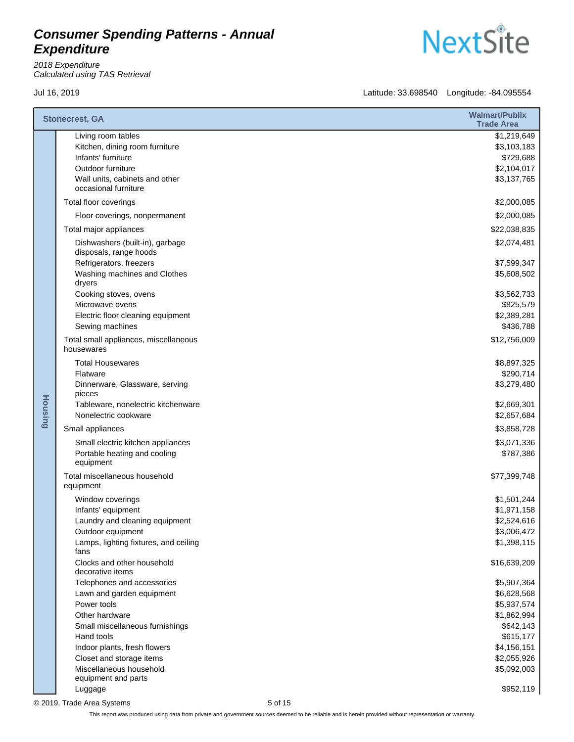2018 Expenditure Calculated using TAS Retrieval



Jul 16, 2019 Latitude: 33.698540 Longitude: -84.095554

|                | <b>Stonecrest, GA</b>                                                                                                                                                                                                                                   | <b>Walmart/Publix</b><br><b>Trade Area</b>                                                                                      |
|----------------|---------------------------------------------------------------------------------------------------------------------------------------------------------------------------------------------------------------------------------------------------------|---------------------------------------------------------------------------------------------------------------------------------|
|                | Living room tables<br>Kitchen, dining room furniture<br>Infants' furniture<br>Outdoor furniture<br>Wall units, cabinets and other                                                                                                                       | \$1,219,649<br>\$3,103,183<br>\$729,688<br>\$2,104,017<br>\$3,137,765                                                           |
|                | occasional furniture                                                                                                                                                                                                                                    | \$2,000,085                                                                                                                     |
|                | Total floor coverings                                                                                                                                                                                                                                   |                                                                                                                                 |
|                | Floor coverings, nonpermanent                                                                                                                                                                                                                           | \$2,000,085                                                                                                                     |
|                | Total major appliances                                                                                                                                                                                                                                  | \$22,038,835                                                                                                                    |
|                | Dishwashers (built-in), garbage<br>disposals, range hoods<br>Refrigerators, freezers<br>Washing machines and Clothes                                                                                                                                    | \$2,074,481<br>\$7,599,347<br>\$5,608,502                                                                                       |
|                | dryers<br>Cooking stoves, ovens<br>Microwave ovens<br>Electric floor cleaning equipment<br>Sewing machines                                                                                                                                              | \$3,562,733<br>\$825,579<br>\$2,389,281<br>\$436,788                                                                            |
|                | Total small appliances, miscellaneous<br>housewares                                                                                                                                                                                                     | \$12,756,009                                                                                                                    |
| <b>Housing</b> | <b>Total Housewares</b><br>Flatware<br>Dinnerware, Glassware, serving<br>pieces<br>Tableware, nonelectric kitchenware<br>Nonelectric cookware                                                                                                           | \$8,897,325<br>\$290,714<br>\$3,279,480<br>\$2,669,301<br>\$2,657,684                                                           |
|                | Small appliances                                                                                                                                                                                                                                        | \$3,858,728                                                                                                                     |
|                | Small electric kitchen appliances<br>Portable heating and cooling<br>equipment                                                                                                                                                                          | \$3,071,336<br>\$787,386                                                                                                        |
|                | Total miscellaneous household<br>equipment                                                                                                                                                                                                              | \$77,399,748                                                                                                                    |
|                | Window coverings<br>Infants' equipment<br>Laundry and cleaning equipment<br>Outdoor equipment<br>Lamps, lighting fixtures, and ceiling<br>fans                                                                                                          | \$1,501,244<br>\$1,971,158<br>\$2,524,616<br>\$3,006,472<br>\$1,398,115                                                         |
|                | Clocks and other household<br>decorative items                                                                                                                                                                                                          | \$16,639,209                                                                                                                    |
|                | Telephones and accessories<br>Lawn and garden equipment<br>Power tools<br>Other hardware<br>Small miscellaneous furnishings<br>Hand tools<br>Indoor plants, fresh flowers<br>Closet and storage items<br>Miscellaneous household<br>equipment and parts | \$5,907,364<br>\$6,628,568<br>\$5,937,574<br>\$1,862,994<br>\$642,143<br>\$615,177<br>\$4,156,151<br>\$2,055,926<br>\$5,092,003 |
|                | Luggage                                                                                                                                                                                                                                                 | \$952,119                                                                                                                       |

© 2019, Trade Area Systems 5 of 15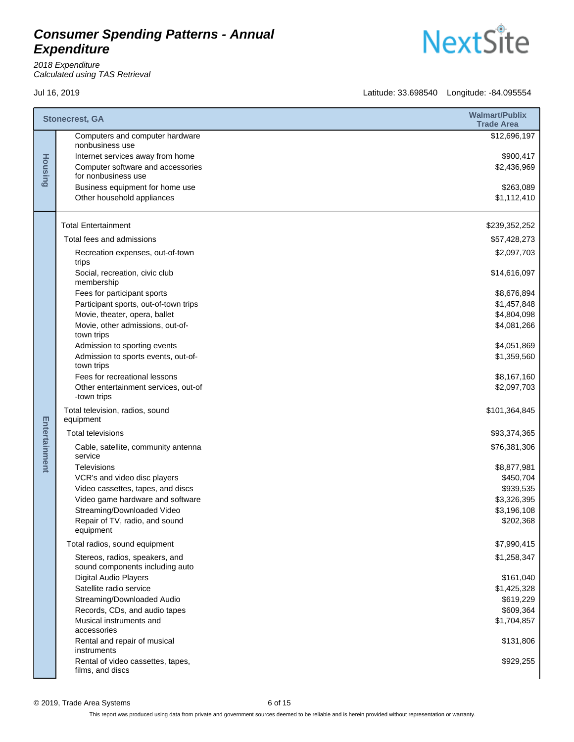2018 Expenditure Calculated using TAS Retrieval

|               | <b>Stonecrest, GA</b>                                             | <b>Walmart/Publix</b><br><b>Trade Area</b> |
|---------------|-------------------------------------------------------------------|--------------------------------------------|
|               | Computers and computer hardware<br>nonbusiness use                | \$12,696,197                               |
|               | Internet services away from home                                  | \$900,417                                  |
| Housing       | Computer software and accessories<br>for nonbusiness use          | \$2,436,969                                |
|               | Business equipment for home use                                   | \$263,089                                  |
|               | Other household appliances                                        | \$1,112,410                                |
|               | <b>Total Entertainment</b>                                        | \$239,352,252                              |
|               | Total fees and admissions                                         | \$57,428,273                               |
|               | Recreation expenses, out-of-town<br>trips                         | \$2,097,703                                |
|               | Social, recreation, civic club<br>membership                      | \$14,616,097                               |
|               | Fees for participant sports                                       | \$8,676,894                                |
|               | Participant sports, out-of-town trips                             | \$1,457,848                                |
|               | Movie, theater, opera, ballet                                     | \$4,804,098                                |
|               | Movie, other admissions, out-of-<br>town trips                    | \$4,081,266                                |
|               | Admission to sporting events                                      | \$4,051,869                                |
|               | Admission to sports events, out-of-<br>town trips                 | \$1,359,560                                |
|               | Fees for recreational lessons                                     | \$8,167,160                                |
|               | Other entertainment services, out-of<br>-town trips               | \$2,097,703                                |
|               | Total television, radios, sound<br>equipment                      | \$101,364,845                              |
|               | <b>Total televisions</b>                                          | \$93,374,365                               |
| Entertainment | Cable, satellite, community antenna<br>service                    | \$76,381,306                               |
|               | Televisions                                                       | \$8,877,981                                |
|               | VCR's and video disc players                                      | \$450,704                                  |
|               | Video cassettes, tapes, and discs                                 | \$939,535                                  |
|               | Video game hardware and software                                  | \$3,326,395                                |
|               | Streaming/Downloaded Video                                        | \$3,196,108                                |
|               | Repair of TV, radio, and sound<br>equipment                       | \$202,368                                  |
|               | Total radios, sound equipment                                     | \$7,990,415                                |
|               | Stereos, radios, speakers, and<br>sound components including auto | \$1,258,347                                |
|               | Digital Audio Players                                             | \$161,040                                  |
|               | Satellite radio service                                           | \$1,425,328                                |
|               | Streaming/Downloaded Audio                                        | \$619,229                                  |
|               | Records, CDs, and audio tapes                                     | \$609,364                                  |
|               | Musical instruments and<br>accessories                            | \$1,704,857                                |
|               | Rental and repair of musical<br>instruments                       | \$131,806                                  |
|               | Rental of video cassettes, tapes,<br>films, and discs             | \$929,255                                  |

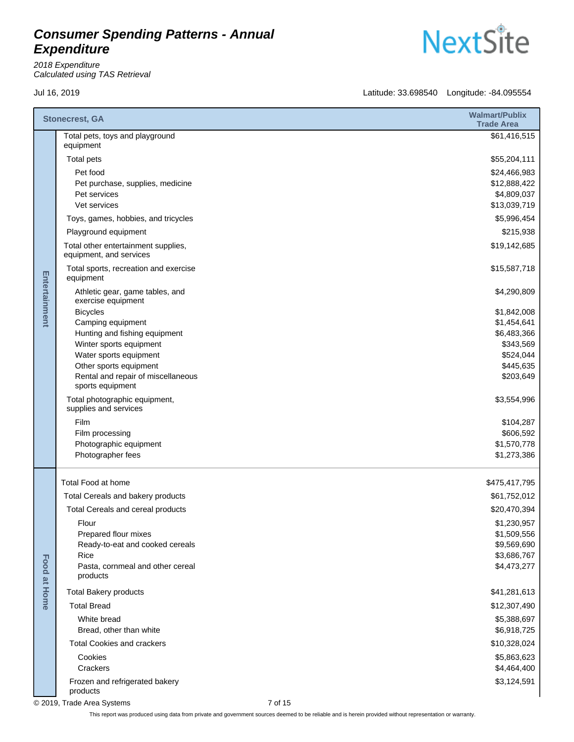2018 Expenditure Calculated using TAS Retrieval

Jul 16, 2019 Latitude: 33.698540 Longitude: -84.095554

|                     | <b>Stonecrest, GA</b>                                          | <b>Walmart/Publix</b><br><b>Trade Area</b> |
|---------------------|----------------------------------------------------------------|--------------------------------------------|
|                     | Total pets, toys and playground<br>equipment                   | \$61,416,515                               |
|                     | Total pets                                                     | \$55,204,111                               |
|                     | Pet food                                                       | \$24,466,983                               |
|                     | Pet purchase, supplies, medicine                               | \$12,888,422                               |
|                     | Pet services                                                   | \$4,809,037                                |
|                     | Vet services                                                   | \$13,039,719                               |
|                     | Toys, games, hobbies, and tricycles                            | \$5,996,454                                |
|                     | Playground equipment                                           | \$215,938                                  |
| Entertainment       | Total other entertainment supplies,<br>equipment, and services | \$19,142,685                               |
|                     | Total sports, recreation and exercise<br>equipment             | \$15,587,718                               |
|                     | Athletic gear, game tables, and<br>exercise equipment          | \$4,290,809                                |
|                     | <b>Bicycles</b>                                                | \$1,842,008                                |
|                     | Camping equipment                                              | \$1,454,641                                |
|                     | Hunting and fishing equipment<br>Winter sports equipment       | \$6,483,366<br>\$343,569                   |
|                     | Water sports equipment                                         | \$524,044                                  |
|                     | Other sports equipment                                         | \$445,635                                  |
|                     | Rental and repair of miscellaneous<br>sports equipment         | \$203,649                                  |
|                     | Total photographic equipment,<br>supplies and services         | \$3,554,996                                |
|                     | Film                                                           | \$104,287                                  |
|                     | Film processing                                                | \$606,592                                  |
|                     | Photographic equipment                                         | \$1,570,778                                |
|                     | Photographer fees                                              | \$1,273,386                                |
|                     | Total Food at home                                             | \$475,417,795                              |
|                     | Total Cereals and bakery products                              | \$61,752,012                               |
|                     | Total Cereals and cereal products                              | \$20,470,394                               |
|                     | Flour                                                          | \$1,230,957                                |
|                     | Prepared flour mixes                                           | \$1,509,556                                |
|                     | Ready-to-eat and cooked cereals                                | \$9,569,690                                |
|                     | Rice                                                           | \$3,686,767                                |
| <b>Food at Home</b> | Pasta, cornmeal and other cereal<br>products                   | \$4,473,277                                |
|                     | <b>Total Bakery products</b>                                   | \$41,281,613                               |
|                     | <b>Total Bread</b>                                             | \$12,307,490                               |
|                     | White bread                                                    | \$5,388,697                                |
|                     | Bread, other than white                                        | \$6,918,725                                |
|                     | <b>Total Cookies and crackers</b>                              | \$10,328,024                               |
|                     | Cookies                                                        | \$5,863,623                                |
|                     | Crackers                                                       | \$4,464,400                                |
|                     | Frozen and refrigerated bakery<br>products                     | \$3,124,591                                |

© 2019, Trade Area Systems 7 of 15

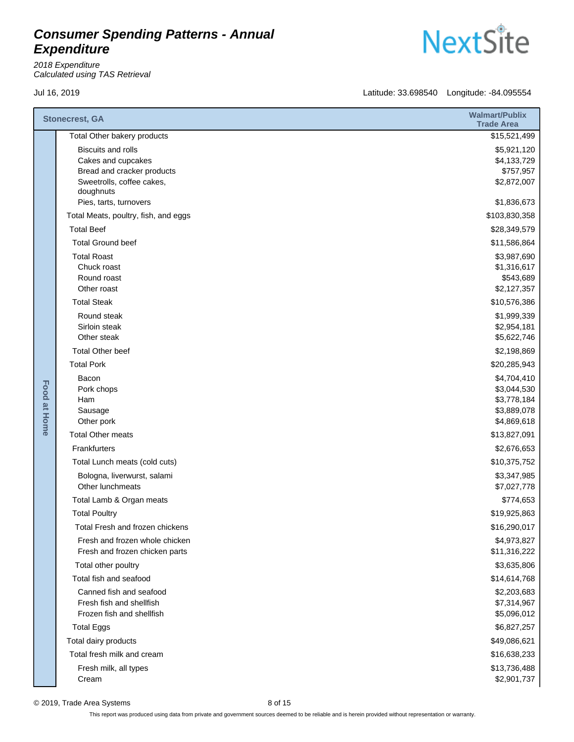2018 Expenditure Calculated using TAS Retrieval



|                     | <b>Stonecrest, GA</b>                                            | <b>Walmart/Publix</b><br><b>Trade Area</b> |
|---------------------|------------------------------------------------------------------|--------------------------------------------|
|                     | Total Other bakery products                                      | \$15,521,499                               |
|                     | <b>Biscuits and rolls</b>                                        | \$5,921,120                                |
|                     | Cakes and cupcakes                                               | \$4,133,729                                |
|                     | Bread and cracker products                                       | \$757,957                                  |
|                     | Sweetrolls, coffee cakes,<br>doughnuts                           | \$2,872,007                                |
|                     | Pies, tarts, turnovers                                           | \$1,836,673                                |
|                     | Total Meats, poultry, fish, and eggs                             | \$103,830,358                              |
|                     | <b>Total Beef</b>                                                | \$28,349,579                               |
|                     | <b>Total Ground beef</b>                                         | \$11,586,864                               |
|                     | <b>Total Roast</b>                                               | \$3,987,690                                |
|                     | Chuck roast                                                      | \$1,316,617                                |
|                     | Round roast                                                      | \$543,689                                  |
|                     | Other roast                                                      | \$2,127,357                                |
|                     | <b>Total Steak</b>                                               | \$10,576,386                               |
|                     | Round steak<br>Sirloin steak                                     | \$1,999,339<br>\$2,954,181                 |
|                     | Other steak                                                      | \$5,622,746                                |
|                     | <b>Total Other beef</b>                                          | \$2,198,869                                |
|                     | <b>Total Pork</b>                                                | \$20,285,943                               |
| <b>Food at Home</b> | Bacon                                                            | \$4,704,410                                |
|                     | Pork chops                                                       | \$3,044,530                                |
|                     | Ham                                                              | \$3,778,184                                |
|                     | Sausage                                                          | \$3,889,078                                |
|                     | Other pork                                                       | \$4,869,618                                |
|                     | <b>Total Other meats</b>                                         | \$13,827,091                               |
|                     | Frankfurters                                                     | \$2,676,653                                |
|                     | Total Lunch meats (cold cuts)                                    | \$10,375,752                               |
|                     | Bologna, liverwurst, salami<br>Other lunchmeats                  | \$3,347,985                                |
|                     |                                                                  | \$7,027,778                                |
|                     | Total Lamb & Organ meats                                         | \$774,653                                  |
|                     | <b>Total Poultry</b>                                             | \$19,925,863                               |
|                     | Total Fresh and frozen chickens                                  | \$16,290,017                               |
|                     | Fresh and frozen whole chicken<br>Fresh and frozen chicken parts | \$4,973,827<br>\$11,316,222                |
|                     | Total other poultry                                              | \$3,635,806                                |
|                     | Total fish and seafood                                           | \$14,614,768                               |
|                     | Canned fish and seafood                                          | \$2,203,683                                |
|                     | Fresh fish and shellfish                                         | \$7,314,967                                |
|                     | Frozen fish and shellfish                                        | \$5,096,012                                |
|                     | <b>Total Eggs</b>                                                | \$6,827,257                                |
|                     | Total dairy products                                             | \$49,086,621                               |
|                     | Total fresh milk and cream                                       | \$16,638,233                               |
|                     | Fresh milk, all types                                            | \$13,736,488                               |
|                     | Cream                                                            | \$2,901,737                                |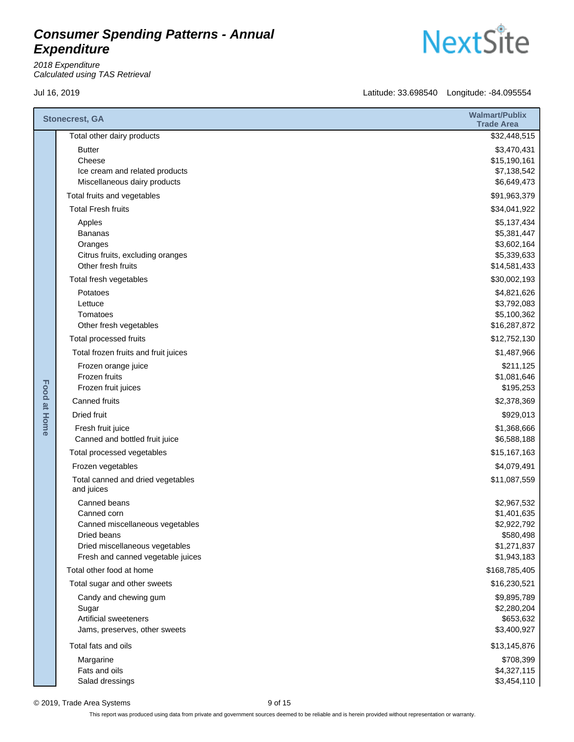2018 Expenditure Calculated using TAS Retrieval

Jul 16, 2019 Latitude: 33.698540 Longitude: -84.095554

|                     | <b>Stonecrest, GA</b>                                          | <b>Walmart/Publix</b><br><b>Trade Area</b> |
|---------------------|----------------------------------------------------------------|--------------------------------------------|
|                     | Total other dairy products                                     | \$32,448,515                               |
|                     | <b>Butter</b>                                                  | \$3,470,431                                |
|                     | Cheese                                                         | \$15,190,161                               |
|                     | Ice cream and related products<br>Miscellaneous dairy products | \$7,138,542<br>\$6,649,473                 |
|                     | Total fruits and vegetables                                    | \$91,963,379                               |
|                     | <b>Total Fresh fruits</b>                                      | \$34,041,922                               |
|                     | Apples                                                         | \$5,137,434                                |
|                     | <b>Bananas</b>                                                 | \$5,381,447                                |
|                     | Oranges<br>Citrus fruits, excluding oranges                    | \$3,602,164<br>\$5,339,633                 |
|                     | Other fresh fruits                                             | \$14,581,433                               |
|                     | Total fresh vegetables                                         | \$30,002,193                               |
|                     | Potatoes                                                       | \$4,821,626                                |
|                     | Lettuce                                                        | \$3,792,083                                |
|                     | Tomatoes<br>Other fresh vegetables                             | \$5,100,362<br>\$16,287,872                |
|                     | Total processed fruits                                         | \$12,752,130                               |
|                     | Total frozen fruits and fruit juices                           | \$1,487,966                                |
| <b>Food at Home</b> | Frozen orange juice                                            | \$211,125                                  |
|                     | Frozen fruits                                                  | \$1,081,646                                |
|                     | Frozen fruit juices                                            | \$195,253                                  |
|                     | Canned fruits                                                  | \$2,378,369                                |
|                     | <b>Dried fruit</b>                                             | \$929,013                                  |
|                     | Fresh fruit juice<br>Canned and bottled fruit juice            | \$1,368,666<br>\$6,588,188                 |
|                     | Total processed vegetables                                     | \$15,167,163                               |
|                     | Frozen vegetables                                              | \$4,079,491                                |
|                     | Total canned and dried vegetables<br>and juices                | \$11,087,559                               |
|                     | Canned beans                                                   | \$2,967,532                                |
|                     | Canned corn                                                    | \$1,401,635                                |
|                     | Canned miscellaneous vegetables                                | \$2,922,792                                |
|                     | Dried beans<br>Dried miscellaneous vegetables                  | \$580,498<br>\$1,271,837                   |
|                     | Fresh and canned vegetable juices                              | \$1,943,183                                |
|                     | Total other food at home                                       | \$168,785,405                              |
|                     | Total sugar and other sweets                                   | \$16,230,521                               |
|                     | Candy and chewing gum                                          | \$9,895,789                                |
|                     | Sugar                                                          | \$2,280,204                                |
|                     | <b>Artificial sweeteners</b><br>Jams, preserves, other sweets  | \$653,632<br>\$3,400,927                   |
|                     | Total fats and oils                                            | \$13,145,876                               |
|                     | Margarine                                                      | \$708,399                                  |
|                     | Fats and oils                                                  | \$4,327,115                                |
|                     | Salad dressings                                                | \$3,454,110                                |

© 2019, Trade Area Systems 9 of 15

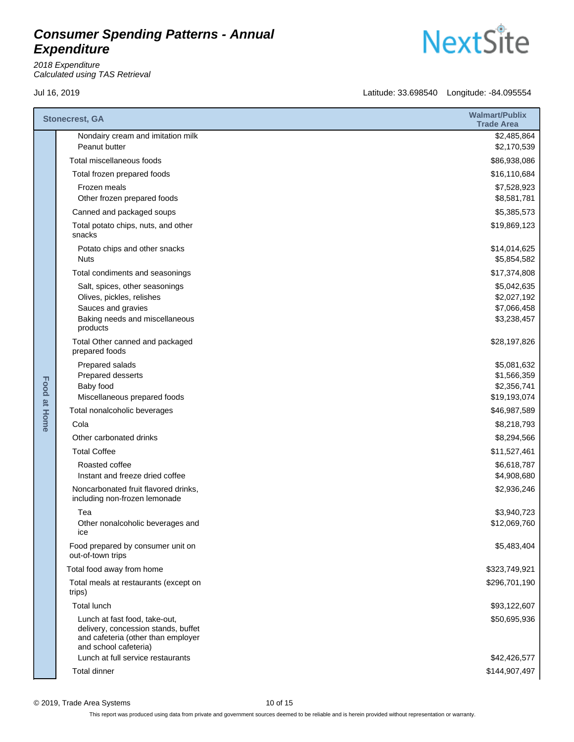2018 Expenditure Calculated using TAS Retrieval



|              | <b>Stonecrest, GA</b>                                                                                      | <b>Walmart/Publix</b><br><b>Trade Area</b> |
|--------------|------------------------------------------------------------------------------------------------------------|--------------------------------------------|
|              | Nondairy cream and imitation milk<br>Peanut butter                                                         | \$2,485,864<br>\$2,170,539                 |
|              | Total miscellaneous foods                                                                                  | \$86,938,086                               |
|              | Total frozen prepared foods                                                                                | \$16,110,684                               |
|              | Frozen meals                                                                                               | \$7,528,923                                |
|              | Other frozen prepared foods                                                                                | \$8,581,781                                |
|              | Canned and packaged soups                                                                                  | \$5,385,573                                |
|              | Total potato chips, nuts, and other<br>snacks                                                              | \$19,869,123                               |
|              | Potato chips and other snacks<br><b>Nuts</b>                                                               | \$14,014,625<br>\$5,854,582                |
|              | Total condiments and seasonings                                                                            | \$17,374,808                               |
|              | Salt, spices, other seasonings                                                                             | \$5,042,635                                |
|              | Olives, pickles, relishes                                                                                  | \$2,027,192                                |
|              | Sauces and gravies<br>Baking needs and miscellaneous                                                       | \$7,066,458                                |
|              | products                                                                                                   | \$3,238,457                                |
|              | Total Other canned and packaged<br>prepared foods                                                          | \$28,197,826                               |
| Food at Home | Prepared salads                                                                                            | \$5,081,632                                |
|              | Prepared desserts                                                                                          | \$1,566,359                                |
|              | Baby food<br>Miscellaneous prepared foods                                                                  | \$2,356,741<br>\$19,193,074                |
|              | Total nonalcoholic beverages                                                                               | \$46,987,589                               |
|              | Cola                                                                                                       | \$8,218,793                                |
|              | Other carbonated drinks                                                                                    | \$8,294,566                                |
|              | <b>Total Coffee</b>                                                                                        | \$11,527,461                               |
|              | Roasted coffee                                                                                             | \$6,618,787                                |
|              | Instant and freeze dried coffee                                                                            | \$4,908,680                                |
|              | Noncarbonated fruit flavored drinks,<br>including non-frozen lemonade                                      | \$2,936,246                                |
|              | Tea                                                                                                        | \$3,940,723                                |
|              | Other nonalcoholic beverages and<br>ice                                                                    | \$12,069,760                               |
|              | Food prepared by consumer unit on<br>out-of-town trips                                                     | \$5,483,404                                |
|              | Total food away from home                                                                                  | \$323,749,921                              |
|              | Total meals at restaurants (except on<br>trips)                                                            | \$296,701,190                              |
|              | Total lunch                                                                                                | \$93,122,607                               |
|              | Lunch at fast food, take-out,<br>delivery, concession stands, buffet<br>and cafeteria (other than employer | \$50,695,936                               |
|              | and school cafeteria)                                                                                      |                                            |
|              | Lunch at full service restaurants                                                                          | \$42,426,577                               |
|              | <b>Total dinner</b>                                                                                        | \$144,907,497                              |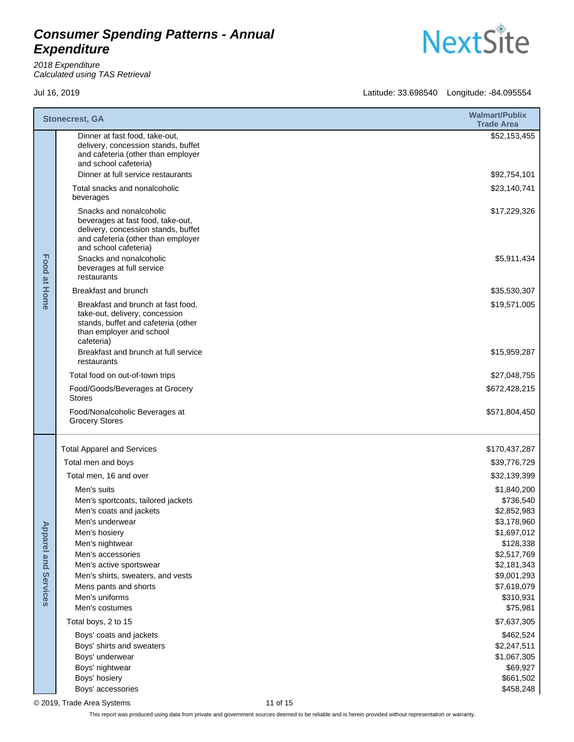2018 Expenditure Calculated using TAS Retrieval

**NextSite** 

Jul 16, 2019 Latitude: 33.698540 Longitude: -84.095554

| Dinner at fast food, take-out,<br>delivery, concession stands, buffet<br>and cafeteria (other than employer<br>and school cafeteria)<br>Dinner at full service restaurants<br>\$92,754,101<br>\$23,140,741<br>Total snacks and nonalcoholic<br>beverages<br>Snacks and nonalcoholic<br>beverages at fast food, take-out,<br>delivery, concession stands, buffet<br>and cafeteria (other than employer<br>and school cafeteria)<br>Food at Home<br>Snacks and nonalcoholic<br>beverages at full service<br>restaurants<br>Breakfast and brunch<br>\$35,530,307<br>Breakfast and brunch at fast food,<br>\$19,571,005<br>take-out, delivery, concession<br>stands, buffet and cafeteria (other<br>than employer and school<br>cafeteria)<br>Breakfast and brunch at full service<br>\$15,959,287<br>restaurants<br>Total food on out-of-town trips<br>Food/Goods/Beverages at Grocery<br>\$672,428,215<br><b>Stores</b><br>Food/Nonalcoholic Beverages at<br><b>Grocery Stores</b> |  | <b>Stonecrest, GA</b> | <b>Walmart/Publix</b><br><b>Trade Area</b> |
|----------------------------------------------------------------------------------------------------------------------------------------------------------------------------------------------------------------------------------------------------------------------------------------------------------------------------------------------------------------------------------------------------------------------------------------------------------------------------------------------------------------------------------------------------------------------------------------------------------------------------------------------------------------------------------------------------------------------------------------------------------------------------------------------------------------------------------------------------------------------------------------------------------------------------------------------------------------------------------|--|-----------------------|--------------------------------------------|
|                                                                                                                                                                                                                                                                                                                                                                                                                                                                                                                                                                                                                                                                                                                                                                                                                                                                                                                                                                                  |  |                       | \$52,153,455                               |
|                                                                                                                                                                                                                                                                                                                                                                                                                                                                                                                                                                                                                                                                                                                                                                                                                                                                                                                                                                                  |  |                       |                                            |
|                                                                                                                                                                                                                                                                                                                                                                                                                                                                                                                                                                                                                                                                                                                                                                                                                                                                                                                                                                                  |  |                       | \$17,229,326<br>\$5,911,434                |
|                                                                                                                                                                                                                                                                                                                                                                                                                                                                                                                                                                                                                                                                                                                                                                                                                                                                                                                                                                                  |  |                       |                                            |
|                                                                                                                                                                                                                                                                                                                                                                                                                                                                                                                                                                                                                                                                                                                                                                                                                                                                                                                                                                                  |  |                       |                                            |
|                                                                                                                                                                                                                                                                                                                                                                                                                                                                                                                                                                                                                                                                                                                                                                                                                                                                                                                                                                                  |  |                       |                                            |
|                                                                                                                                                                                                                                                                                                                                                                                                                                                                                                                                                                                                                                                                                                                                                                                                                                                                                                                                                                                  |  |                       |                                            |
|                                                                                                                                                                                                                                                                                                                                                                                                                                                                                                                                                                                                                                                                                                                                                                                                                                                                                                                                                                                  |  |                       | \$27,048,755                               |
|                                                                                                                                                                                                                                                                                                                                                                                                                                                                                                                                                                                                                                                                                                                                                                                                                                                                                                                                                                                  |  |                       |                                            |
|                                                                                                                                                                                                                                                                                                                                                                                                                                                                                                                                                                                                                                                                                                                                                                                                                                                                                                                                                                                  |  |                       | \$571,804,450                              |
| <b>Total Apparel and Services</b>                                                                                                                                                                                                                                                                                                                                                                                                                                                                                                                                                                                                                                                                                                                                                                                                                                                                                                                                                |  |                       | \$170,437,287                              |
| Total men and boys                                                                                                                                                                                                                                                                                                                                                                                                                                                                                                                                                                                                                                                                                                                                                                                                                                                                                                                                                               |  |                       | \$39,776,729                               |
| Total men, 16 and over                                                                                                                                                                                                                                                                                                                                                                                                                                                                                                                                                                                                                                                                                                                                                                                                                                                                                                                                                           |  |                       | \$32,139,399                               |
| Men's suits                                                                                                                                                                                                                                                                                                                                                                                                                                                                                                                                                                                                                                                                                                                                                                                                                                                                                                                                                                      |  |                       | \$1,840,200                                |
| Men's sportcoats, tailored jackets<br>Men's coats and jackets                                                                                                                                                                                                                                                                                                                                                                                                                                                                                                                                                                                                                                                                                                                                                                                                                                                                                                                    |  |                       | \$736,540<br>\$2,852,983                   |
| Men's underwear                                                                                                                                                                                                                                                                                                                                                                                                                                                                                                                                                                                                                                                                                                                                                                                                                                                                                                                                                                  |  |                       | \$3,178,960                                |
| Men's hosiery                                                                                                                                                                                                                                                                                                                                                                                                                                                                                                                                                                                                                                                                                                                                                                                                                                                                                                                                                                    |  |                       | \$1,697,012                                |
| <b>Apparel and</b><br>Men's nightwear                                                                                                                                                                                                                                                                                                                                                                                                                                                                                                                                                                                                                                                                                                                                                                                                                                                                                                                                            |  |                       | \$128,338                                  |
| Men's accessories<br>Men's active sportswear                                                                                                                                                                                                                                                                                                                                                                                                                                                                                                                                                                                                                                                                                                                                                                                                                                                                                                                                     |  |                       | \$2,517,769<br>\$2,181,343                 |
| Men's shirts, sweaters, and vests                                                                                                                                                                                                                                                                                                                                                                                                                                                                                                                                                                                                                                                                                                                                                                                                                                                                                                                                                |  |                       | \$9,001,293                                |
| Services<br>Mens pants and shorts                                                                                                                                                                                                                                                                                                                                                                                                                                                                                                                                                                                                                                                                                                                                                                                                                                                                                                                                                |  |                       | \$7,618,079                                |
| Men's uniforms<br>Men's costumes                                                                                                                                                                                                                                                                                                                                                                                                                                                                                                                                                                                                                                                                                                                                                                                                                                                                                                                                                 |  |                       | \$310,931                                  |
| Total boys, 2 to 15                                                                                                                                                                                                                                                                                                                                                                                                                                                                                                                                                                                                                                                                                                                                                                                                                                                                                                                                                              |  |                       | \$75,981<br>\$7,637,305                    |
| Boys' coats and jackets                                                                                                                                                                                                                                                                                                                                                                                                                                                                                                                                                                                                                                                                                                                                                                                                                                                                                                                                                          |  |                       | \$462,524                                  |
| Boys' shirts and sweaters<br>\$2,247,511                                                                                                                                                                                                                                                                                                                                                                                                                                                                                                                                                                                                                                                                                                                                                                                                                                                                                                                                         |  |                       |                                            |
| Boys' underwear                                                                                                                                                                                                                                                                                                                                                                                                                                                                                                                                                                                                                                                                                                                                                                                                                                                                                                                                                                  |  |                       | \$1,067,305                                |
| Boys' nightwear                                                                                                                                                                                                                                                                                                                                                                                                                                                                                                                                                                                                                                                                                                                                                                                                                                                                                                                                                                  |  |                       | \$69,927                                   |
| Boys' hosiery<br>Boys' accessories                                                                                                                                                                                                                                                                                                                                                                                                                                                                                                                                                                                                                                                                                                                                                                                                                                                                                                                                               |  |                       | \$661,502<br>\$458,248                     |

© 2019, Trade Area Systems 11 of 15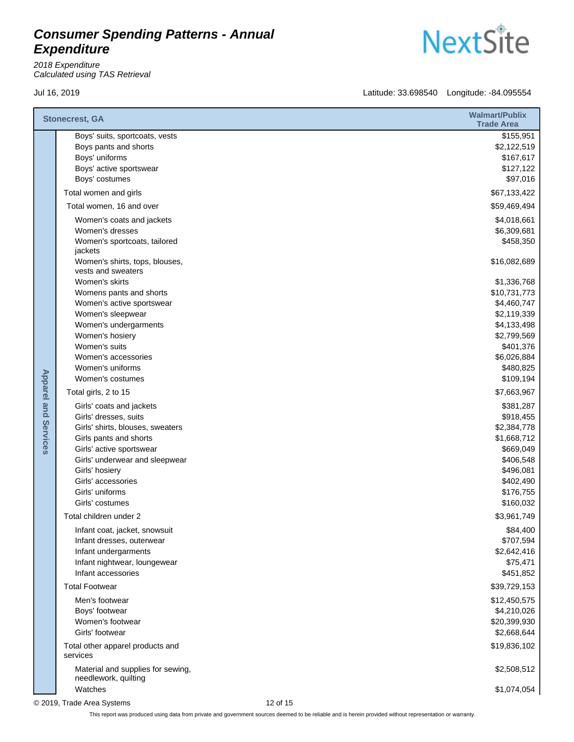2018 Expenditure Calculated using TAS Retrieval

Jul 16, 2019 Latitude: 33.698540 Longitude: -84.095554

|                             | <b>Stonecrest, GA</b>                                                                                                  | <b>Walmart/Publix</b><br><b>Trade Area</b>                     |
|-----------------------------|------------------------------------------------------------------------------------------------------------------------|----------------------------------------------------------------|
|                             | Boys' suits, sportcoats, vests<br>Boys pants and shorts<br>Boys' uniforms<br>Boys' active sportswear<br>Boys' costumes | \$155,951<br>\$2,122,519<br>\$167,617<br>\$127,122<br>\$97,016 |
|                             | Total women and girls                                                                                                  | \$67,133,422                                                   |
|                             | Total women, 16 and over                                                                                               | \$59,469,494                                                   |
|                             | Women's coats and jackets<br>Women's dresses<br>Women's sportcoats, tailored<br>jackets                                | \$4,018,661<br>\$6,309,681<br>\$458,350                        |
|                             | Women's shirts, tops, blouses,<br>vests and sweaters                                                                   | \$16,082,689                                                   |
|                             | Women's skirts                                                                                                         | \$1,336,768                                                    |
|                             | Womens pants and shorts                                                                                                | \$10,731,773                                                   |
|                             | Women's active sportswear                                                                                              | \$4,460,747                                                    |
|                             | Women's sleepwear<br>Women's undergarments                                                                             | \$2,119,339<br>\$4,133,498                                     |
|                             | Women's hosiery                                                                                                        | \$2,799,569                                                    |
|                             | Women's suits                                                                                                          | \$401,376                                                      |
|                             | Women's accessories                                                                                                    | \$6,026,884                                                    |
|                             | Women's uniforms                                                                                                       | \$480,825                                                      |
|                             | Women's costumes                                                                                                       | \$109,194                                                      |
|                             | Total girls, 2 to 15                                                                                                   | \$7,663,967                                                    |
| <b>Apparel and Services</b> | Girls' coats and jackets                                                                                               | \$381,287                                                      |
|                             | Girls' dresses, suits                                                                                                  | \$918,455                                                      |
|                             | Girls' shirts, blouses, sweaters<br>Girls pants and shorts                                                             | \$2,384,778<br>\$1,668,712                                     |
|                             | Girls' active sportswear                                                                                               | \$669,049                                                      |
|                             | Girls' underwear and sleepwear                                                                                         | \$406,548                                                      |
|                             | Girls' hosiery                                                                                                         | \$496,081                                                      |
|                             | Girls' accessories                                                                                                     | \$402,490                                                      |
|                             | Girls' uniforms                                                                                                        | \$176,755                                                      |
|                             | Girls' costumes                                                                                                        | \$160,032                                                      |
|                             | Total children under 2                                                                                                 | \$3,961,749                                                    |
|                             | Infant coat, jacket, snowsuit                                                                                          | \$84,400                                                       |
|                             | Infant dresses, outerwear<br>Infant undergarments                                                                      | \$707,594<br>\$2,642,416                                       |
|                             | Infant nightwear, loungewear                                                                                           | \$75,471                                                       |
|                             | Infant accessories                                                                                                     | \$451,852                                                      |
|                             | <b>Total Footwear</b>                                                                                                  | \$39,729,153                                                   |
|                             | Men's footwear                                                                                                         | \$12,450,575                                                   |
|                             | Boys' footwear                                                                                                         | \$4,210,026                                                    |
|                             | Women's footwear                                                                                                       | \$20,399,930                                                   |
|                             | Girls' footwear                                                                                                        | \$2,668,644                                                    |
|                             | Total other apparel products and<br>services                                                                           | \$19,836,102                                                   |
|                             | Material and supplies for sewing,<br>needlework, quilting                                                              | \$2,508,512                                                    |
|                             | Watches                                                                                                                | \$1,074,054                                                    |

© 2019, Trade Area Systems 12 of 15

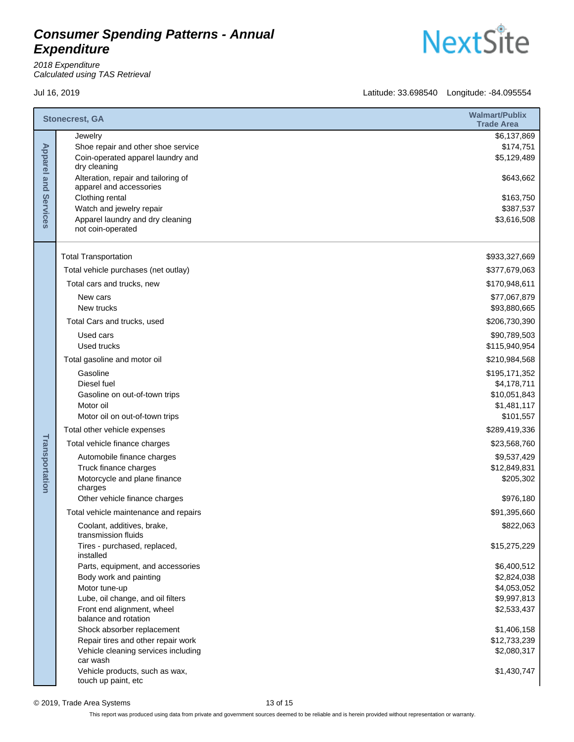2018 Expenditure Calculated using TAS Retrieval

Jul 16, 2019 Latitude: 33.698540 Longitude: -84.095554

**NextSite** 

| <b>Stonecrest, GA</b>          |                                                                                                    | <b>Walmart/Publix</b><br><b>Trade Area</b> |
|--------------------------------|----------------------------------------------------------------------------------------------------|--------------------------------------------|
| <b>Apparel and</b><br>Services | Jewelry<br>Shoe repair and other shoe service<br>Coin-operated apparel laundry and<br>dry cleaning | \$6,137,869<br>\$174,751<br>\$5,129,489    |
|                                | Alteration, repair and tailoring of<br>apparel and accessories                                     | \$643,662                                  |
|                                | Clothing rental                                                                                    | \$163,750                                  |
|                                | Watch and jewelry repair                                                                           | \$387,537                                  |
|                                | Apparel laundry and dry cleaning<br>not coin-operated                                              | \$3,616,508                                |
|                                | <b>Total Transportation</b>                                                                        | \$933,327,669                              |
|                                | Total vehicle purchases (net outlay)                                                               | \$377,679,063                              |
|                                | Total cars and trucks, new                                                                         | \$170,948,611                              |
|                                | New cars<br>New trucks                                                                             | \$77,067,879<br>\$93,880,665               |
|                                | Total Cars and trucks, used                                                                        | \$206,730,390                              |
|                                | Used cars                                                                                          | \$90,789,503                               |
|                                | Used trucks                                                                                        | \$115,940,954                              |
|                                | Total gasoline and motor oil                                                                       | \$210,984,568                              |
|                                | Gasoline                                                                                           | \$195,171,352                              |
|                                | Diesel fuel<br>Gasoline on out-of-town trips                                                       | \$4,178,711<br>\$10,051,843                |
|                                | Motor oil                                                                                          | \$1,481,117                                |
|                                | Motor oil on out-of-town trips                                                                     | \$101,557                                  |
|                                | Total other vehicle expenses                                                                       | \$289,419,336                              |
|                                | Total vehicle finance charges                                                                      | \$23,568,760                               |
|                                | Automobile finance charges                                                                         | \$9,537,429                                |
|                                | Truck finance charges                                                                              | \$12,849,831                               |
| Transportation                 | Motorcycle and plane finance<br>charges                                                            | \$205,302                                  |
|                                | Other vehicle finance charges                                                                      | \$976,180                                  |
|                                | Total vehicle maintenance and repairs                                                              | \$91,395,660                               |
|                                | Coolant, additives, brake,<br>transmission fluids                                                  | \$822,063                                  |
|                                | Tires - purchased, replaced,<br>installed                                                          | \$15,275,229                               |
|                                | Parts, equipment, and accessories                                                                  | \$6,400,512                                |
|                                | Body work and painting<br>Motor tune-up                                                            | \$2,824,038<br>\$4,053,052                 |
|                                | Lube, oil change, and oil filters                                                                  | \$9,997,813                                |
|                                | Front end alignment, wheel<br>balance and rotation                                                 | \$2,533,437                                |
|                                | Shock absorber replacement                                                                         | \$1,406,158                                |
|                                | Repair tires and other repair work                                                                 | \$12,733,239                               |
|                                | Vehicle cleaning services including<br>car wash                                                    | \$2,080,317                                |
|                                | Vehicle products, such as wax,<br>touch up paint, etc                                              | \$1,430,747                                |

© 2019, Trade Area Systems 13 of 15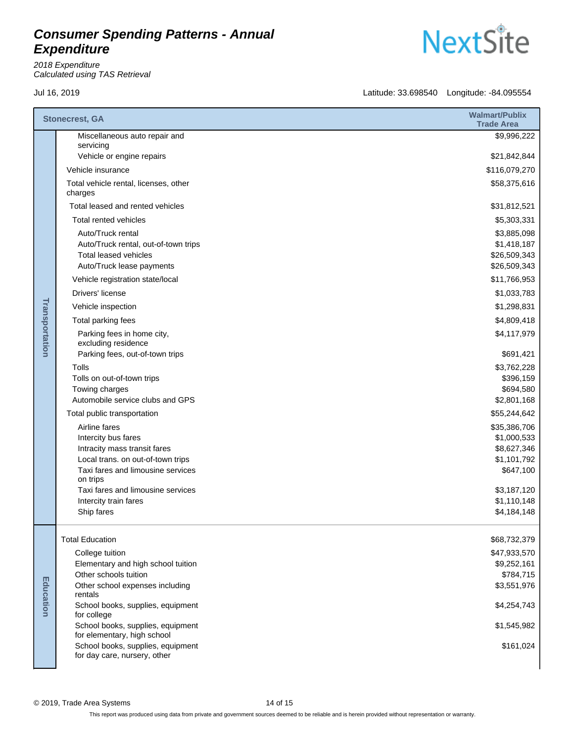2018 Expenditure Calculated using TAS Retrieval



|                | <b>Stonecrest, GA</b>                                                                                                                                                                           | <b>Walmart/Publix</b><br><b>Trade Area</b>                                            |
|----------------|-------------------------------------------------------------------------------------------------------------------------------------------------------------------------------------------------|---------------------------------------------------------------------------------------|
|                | Miscellaneous auto repair and<br>servicing                                                                                                                                                      | \$9,996,222                                                                           |
|                | Vehicle or engine repairs                                                                                                                                                                       | \$21,842,844                                                                          |
|                | Vehicle insurance                                                                                                                                                                               | \$116,079,270                                                                         |
|                | Total vehicle rental, licenses, other<br>charges                                                                                                                                                | \$58,375,616                                                                          |
|                | Total leased and rented vehicles                                                                                                                                                                | \$31,812,521                                                                          |
|                | Total rented vehicles                                                                                                                                                                           | \$5,303,331                                                                           |
|                | Auto/Truck rental<br>Auto/Truck rental, out-of-town trips<br><b>Total leased vehicles</b><br>Auto/Truck lease payments                                                                          | \$3,885,098<br>\$1,418,187<br>\$26,509,343<br>\$26,509,343                            |
|                | Vehicle registration state/local                                                                                                                                                                | \$11,766,953                                                                          |
|                | Drivers' license                                                                                                                                                                                | \$1,033,783                                                                           |
|                | Vehicle inspection                                                                                                                                                                              | \$1,298,831                                                                           |
|                | Total parking fees                                                                                                                                                                              | \$4,809,418                                                                           |
| Transportation | Parking fees in home city,<br>excluding residence                                                                                                                                               | \$4,117,979                                                                           |
|                | Parking fees, out-of-town trips                                                                                                                                                                 | \$691,421                                                                             |
|                | Tolls<br>Tolls on out-of-town trips<br>Towing charges<br>Automobile service clubs and GPS                                                                                                       | \$3,762,228<br>\$396,159<br>\$694,580<br>\$2,801,168                                  |
|                | Total public transportation                                                                                                                                                                     | \$55,244,642                                                                          |
|                | Airline fares<br>Intercity bus fares<br>Intracity mass transit fares<br>Local trans. on out-of-town trips<br>Taxi fares and limousine services<br>on trips<br>Taxi fares and limousine services | \$35,386,706<br>\$1,000,533<br>\$8,627,346<br>\$1,101,792<br>\$647,100<br>\$3,187,120 |
|                | Intercity train fares                                                                                                                                                                           | \$1,110,148                                                                           |
|                | Ship fares                                                                                                                                                                                      | \$4,184,148                                                                           |
|                | <b>Total Education</b>                                                                                                                                                                          | \$68,732,379                                                                          |
|                | College tuition                                                                                                                                                                                 | \$47,933,570                                                                          |
|                | Elementary and high school tuition                                                                                                                                                              | \$9,252,161                                                                           |
|                | Other schools tuition<br>Other school expenses including                                                                                                                                        | \$784,715<br>\$3,551,976                                                              |
|                | rentals                                                                                                                                                                                         |                                                                                       |
| Education      | School books, supplies, equipment<br>for college                                                                                                                                                | \$4,254,743                                                                           |
|                | School books, supplies, equipment<br>for elementary, high school                                                                                                                                | \$1,545,982                                                                           |
|                | School books, supplies, equipment<br>for day care, nursery, other                                                                                                                               | \$161,024                                                                             |